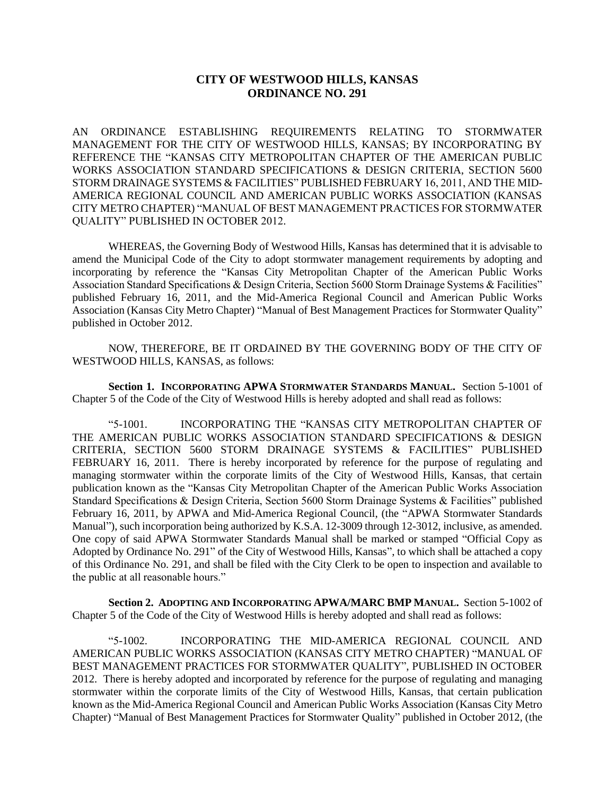## **CITY OF WESTWOOD HILLS, KANSAS ORDINANCE NO. 291**

AN ORDINANCE ESTABLISHING REQUIREMENTS RELATING TO STORMWATER MANAGEMENT FOR THE CITY OF WESTWOOD HILLS, KANSAS; BY INCORPORATING BY REFERENCE THE "KANSAS CITY METROPOLITAN CHAPTER OF THE AMERICAN PUBLIC WORKS ASSOCIATION STANDARD SPECIFICATIONS & DESIGN CRITERIA, SECTION 5600 STORM DRAINAGE SYSTEMS & FACILITIES" PUBLISHED FEBRUARY 16, 2011, AND THE MID-AMERICA REGIONAL COUNCIL AND AMERICAN PUBLIC WORKS ASSOCIATION (KANSAS CITY METRO CHAPTER) "MANUAL OF BEST MANAGEMENT PRACTICES FOR STORMWATER QUALITY" PUBLISHED IN OCTOBER 2012.

WHEREAS, the Governing Body of Westwood Hills, Kansas has determined that it is advisable to amend the Municipal Code of the City to adopt stormwater management requirements by adopting and incorporating by reference the "Kansas City Metropolitan Chapter of the American Public Works Association Standard Specifications & Design Criteria, Section 5600 Storm Drainage Systems & Facilities" published February 16, 2011, and the Mid-America Regional Council and American Public Works Association (Kansas City Metro Chapter) "Manual of Best Management Practices for Stormwater Quality" published in October 2012.

NOW, THEREFORE, BE IT ORDAINED BY THE GOVERNING BODY OF THE CITY OF WESTWOOD HILLS, KANSAS, as follows:

**Section 1. INCORPORATING APWA STORMWATER STANDARDS MANUAL.** Section 5-1001 of Chapter 5 of the Code of the City of Westwood Hills is hereby adopted and shall read as follows:

"5-1001. INCORPORATING THE "KANSAS CITY METROPOLITAN CHAPTER OF THE AMERICAN PUBLIC WORKS ASSOCIATION STANDARD SPECIFICATIONS & DESIGN CRITERIA, SECTION 5600 STORM DRAINAGE SYSTEMS & FACILITIES" PUBLISHED FEBRUARY 16, 2011. There is hereby incorporated by reference for the purpose of regulating and managing stormwater within the corporate limits of the City of Westwood Hills, Kansas, that certain publication known as the "Kansas City Metropolitan Chapter of the American Public Works Association Standard Specifications & Design Criteria, Section 5600 Storm Drainage Systems & Facilities" published February 16, 2011, by APWA and Mid-America Regional Council, (the "APWA Stormwater Standards Manual"), such incorporation being authorized by K.S.A. 12-3009 through 12-3012, inclusive, as amended. One copy of said APWA Stormwater Standards Manual shall be marked or stamped "Official Copy as Adopted by Ordinance No. 291" of the City of Westwood Hills, Kansas", to which shall be attached a copy of this Ordinance No. 291, and shall be filed with the City Clerk to be open to inspection and available to the public at all reasonable hours."

**Section 2. ADOPTING AND INCORPORATING APWA/MARC BMP MANUAL.** Section 5-1002 of Chapter 5 of the Code of the City of Westwood Hills is hereby adopted and shall read as follows:

"5-1002. INCORPORATING THE MID-AMERICA REGIONAL COUNCIL AND AMERICAN PUBLIC WORKS ASSOCIATION (KANSAS CITY METRO CHAPTER) "MANUAL OF BEST MANAGEMENT PRACTICES FOR STORMWATER QUALITY", PUBLISHED IN OCTOBER 2012. There is hereby adopted and incorporated by reference for the purpose of regulating and managing stormwater within the corporate limits of the City of Westwood Hills, Kansas, that certain publication known as the Mid-America Regional Council and American Public Works Association (Kansas City Metro Chapter) "Manual of Best Management Practices for Stormwater Quality" published in October 2012, (the